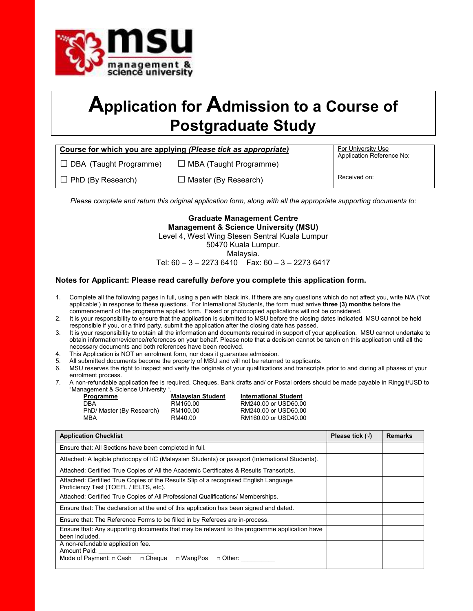

# Application for Admission to a Course of Postgraduate Study

| Course for which you are applying (Please tick as appropriate) | <b>For University Use</b>     |                           |
|----------------------------------------------------------------|-------------------------------|---------------------------|
| $\Box$ DBA (Taught Programme)                                  | $\Box$ MBA (Taught Programme) | Application Reference No: |
| $\Box$ PhD (By Research)                                       | $\Box$ Master (By Research)   | Received on:              |

Please complete and return this original application form, along with all the appropriate supporting documents to:

Graduate Management Centre Management & Science University (MSU) Level 4, West Wing Stesen Sentral Kuala Lumpur 50470 Kuala Lumpur. Malaysia.

Tel:  $60 - 3 - 22736410$  Fax:  $60 - 3 - 22736417$ 

### Notes for Applicant: Please read carefully before you complete this application form.

- 1. Complete all the following pages in full, using a pen with black ink. If there are any questions which do not affect you, write N/A ('Not applicable') in response to these questions. For International Students, the form must arrive three (3) months before the commencement of the programme applied form. Faxed or photocopied applications will not be considered.
- 2. It is your responsibility to ensure that the application is submitted to MSU before the closing dates indicated. MSU cannot be held responsible if you, or a third party, submit the application after the closing date has passed.
- 3. It is your responsibility to obtain all the information and documents required in support of your application. MSU cannot undertake to obtain information/evidence/references on your behalf. Please note that a decision cannot be taken on this application until all the necessary documents and both references have been received.
- 4. This Application is NOT an enrolment form, nor does it guarantee admission.
- 5. All submitted documents become the property of MSU and will not be returned to applicants.
- 6. MSU reserves the right to inspect and verify the originals of your qualifications and transcripts prior to and during all phases of your enrolment process.
- 7. A non-refundable application fee is required. Cheques, Bank drafts and/ or Postal orders should be made payable in Ringgit/USD to "Management & Science University ".

| Programme                 | <b>Malaysian Student</b> | <b>International Student</b> |
|---------------------------|--------------------------|------------------------------|
| DBA                       | RM150.00                 | RM240.00 or USD60.00         |
| PhD/ Master (By Research) | RM100.00                 | RM240.00 or USD60.00         |
| MBA                       | RM40.00                  | RM160.00 or USD40.00         |

| <b>Application Checklist</b>                                                                                                   | Please tick $(\sqrt{})$ | <b>Remarks</b> |
|--------------------------------------------------------------------------------------------------------------------------------|-------------------------|----------------|
| Ensure that: All Sections have been completed in full.                                                                         |                         |                |
| Attached: A legible photocopy of I/C (Malaysian Students) or passport (International Students).                                |                         |                |
| Attached: Certified True Copies of All the Academic Certificates & Results Transcripts.                                        |                         |                |
| Attached: Certified True Copies of the Results Slip of a recognised English Language<br>Proficiency Test (TOEFL / IELTS, etc). |                         |                |
| Attached: Certified True Copies of All Professional Qualifications/ Memberships.                                               |                         |                |
| Ensure that: The declaration at the end of this application has been signed and dated.                                         |                         |                |
| Ensure that: The Reference Forms to be filled in by Referees are in-process.                                                   |                         |                |
| Ensure that: Any supporting documents that may be relevant to the programme application have<br>been included.                 |                         |                |
| A non-refundable application fee.<br>Amount Paid:<br>Mode of Payment: $\Box$ Cash $\Box$ Cheque<br>□ WangPos<br>□ Other:       |                         |                |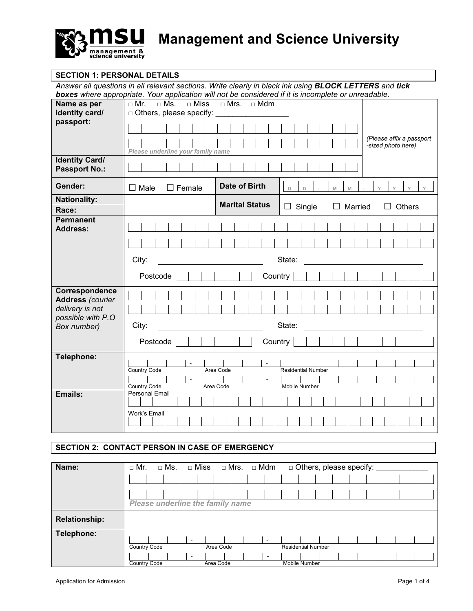

## SECTION 1: PERSONAL DETAILS

Answer all questions in all relevant sections. Write clearly in black ink using **BLOCK LETTERS** and tick boxes where appropriate. Your application will not be considered if it is incomplete or unreadable.

| Name as per<br>identity card/                                                                    | $\Box$ Mrs. $\Box$ Mdm<br>$\Box$ Mr.<br>$\Box$ Ms.<br>$\Box$ Miss<br>□ Others, please specify: _______                   |
|--------------------------------------------------------------------------------------------------|--------------------------------------------------------------------------------------------------------------------------|
| passport:                                                                                        | (Please affix a passport<br>-sized photo here)<br>Please underline your family name                                      |
| <b>Identity Card/</b><br><b>Passport No.:</b>                                                    |                                                                                                                          |
| Gender:                                                                                          | Date of Birth<br>$\square$ Female<br>$\Box$ Male<br>$\mathbb D$<br>$\vee$<br>$\mathsf{Y}$<br>$\Box$<br>$\mathbb{M}$<br>M |
| <b>Nationality:</b><br>Race:                                                                     | <b>Marital Status</b><br>$\Box$ Single<br>Married<br>Others                                                              |
| <b>Permanent</b><br><b>Address:</b>                                                              |                                                                                                                          |
|                                                                                                  | City:<br>State:<br>Country<br>Postcode                                                                                   |
| Correspondence<br><b>Address (courier</b><br>delivery is not<br>possible with P.O<br>Box number) | City:<br>State:                                                                                                          |
|                                                                                                  | Country<br>Postcode                                                                                                      |
| Telephone:                                                                                       | $\sim$<br><b>Residential Number</b><br>Country Code<br>Area Code<br>Country Code<br>Area Code<br>Mobile Number           |
| Emails:                                                                                          | <b>Personal Email</b><br>Work's Email                                                                                    |

# SECTION 2: CONTACT PERSON IN CASE OF EMERGENCY

| Name:                | $\Box$ Mr.          | $\Box$ Ms.                       | $\Box$ Miss              |           | $\Box$ Mrs. $\Box$ Mdm |                          |               | □ Others, please specify: |  |  |  |
|----------------------|---------------------|----------------------------------|--------------------------|-----------|------------------------|--------------------------|---------------|---------------------------|--|--|--|
|                      |                     |                                  |                          |           |                        |                          |               |                           |  |  |  |
|                      |                     |                                  |                          |           |                        |                          |               |                           |  |  |  |
|                      |                     | Please underline the family name |                          |           |                        |                          |               |                           |  |  |  |
| <b>Relationship:</b> |                     |                                  |                          |           |                        |                          |               |                           |  |  |  |
| Telephone:           |                     |                                  | $\overline{\phantom{a}}$ |           |                        | $\overline{\phantom{0}}$ |               |                           |  |  |  |
|                      | <b>Country Code</b> |                                  |                          | Area Code |                        |                          |               | <b>Residential Number</b> |  |  |  |
|                      |                     |                                  | $\overline{\phantom{a}}$ |           |                        | $\overline{\phantom{0}}$ |               |                           |  |  |  |
|                      | <b>Country Code</b> |                                  |                          | Area Code |                        |                          | Mobile Number |                           |  |  |  |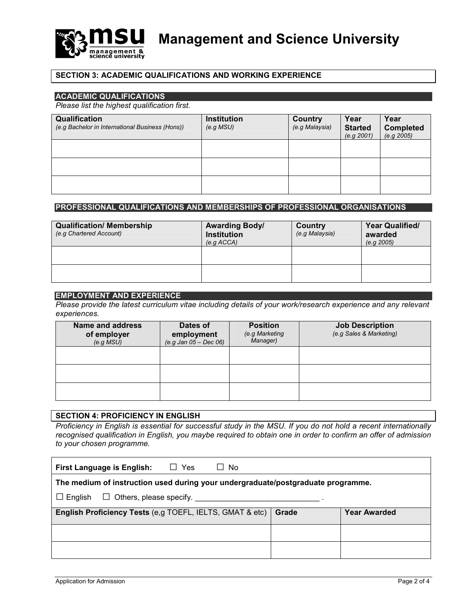

## SECTION 3: ACADEMIC QUALIFICATIONS AND WORKING EXPERIENCE

## ACADEMIC QUALIFICATIONS

Please list the highest qualification first.

| Qualification<br>(e.g Bachelor in International Business (Hons)) | <b>Institution</b><br>(e.g. MSU) | <b>Country</b><br>(e.g Malaysia) | Year<br><b>Started</b><br>(e.g. 2001) | Year<br><b>Completed</b><br>(e.g. 2005) |
|------------------------------------------------------------------|----------------------------------|----------------------------------|---------------------------------------|-----------------------------------------|
|                                                                  |                                  |                                  |                                       |                                         |
|                                                                  |                                  |                                  |                                       |                                         |
|                                                                  |                                  |                                  |                                       |                                         |

## PROFESSIONAL QUALIFICATIONS AND MEMBERSHIPS OF PROFESSIONAL ORGANISATIONS

| <b>Qualification/ Membership</b><br>(e.g Chartered Account) | <b>Awarding Body/</b><br><b>Institution</b><br>(e.g ACCA) | Country<br>(e.g Malaysia) | <b>Year Qualified/</b><br>awarded<br>(e.g. 2005) |
|-------------------------------------------------------------|-----------------------------------------------------------|---------------------------|--------------------------------------------------|
|                                                             |                                                           |                           |                                                  |
|                                                             |                                                           |                           |                                                  |

#### EMPLOYMENT AND EXPERIENCE

Please provide the latest curriculum vitae including details of your work/research experience and any relevant experiences.

| <b>Name and address</b><br>of employer<br>(e.g. MSU) | Dates of<br>employment<br>$(e.g.$ Jan $05 - Dec 06)$ | <b>Position</b><br>(e.g Marketing<br>Manager) | <b>Job Description</b><br>(e.g Sales & Marketing) |
|------------------------------------------------------|------------------------------------------------------|-----------------------------------------------|---------------------------------------------------|
|                                                      |                                                      |                                               |                                                   |
|                                                      |                                                      |                                               |                                                   |
|                                                      |                                                      |                                               |                                                   |

## SECTION 4: PROFICIENCY IN ENGLISH

Proficiency in English is essential for successful study in the MSU. If you do not hold a recent internationally recognised qualification in English, you maybe required to obtain one in order to confirm an offer of admission to your chosen programme.

| $\Box$ Yes<br><b>First Language is English:</b><br>No<br>$\Box$                          |  |  |  |  |  |  |
|------------------------------------------------------------------------------------------|--|--|--|--|--|--|
| The medium of instruction used during your undergraduate/postgraduate programme.         |  |  |  |  |  |  |
| $\Box$ English                                                                           |  |  |  |  |  |  |
| English Proficiency Tests (e,g TOEFL, IELTS, GMAT & etc)<br>Grade<br><b>Year Awarded</b> |  |  |  |  |  |  |
|                                                                                          |  |  |  |  |  |  |
|                                                                                          |  |  |  |  |  |  |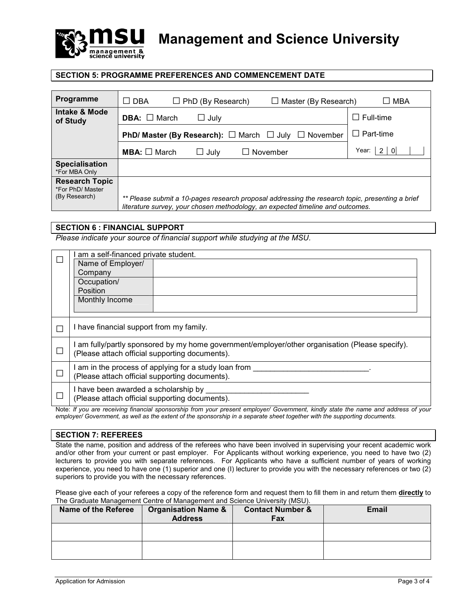

Management and Science University

## SECTION 5: PROGRAMME PREFERENCES AND COMMENCEMENT DATE

| <b>Programme</b>                                           | $\Box$ DBA<br>$\Box$ PhD (By Research)<br>$\Box$ Master (By Research)                                                                                                             | $\Box$ MBA       |
|------------------------------------------------------------|-----------------------------------------------------------------------------------------------------------------------------------------------------------------------------------|------------------|
| Intake & Mode<br>of Study                                  | <b>DBA:</b> $\Box$ March<br>$\Box$ July                                                                                                                                           | $\Box$ Full-time |
|                                                            | <b>PhD/ Master (By Research):</b> $\Box$ March $\Box$ July $\Box$ November                                                                                                        | $\Box$ Part-time |
|                                                            | <b>MBA:</b> $\Box$ March<br>November<br>$\sqcup$ July                                                                                                                             | Year: I<br>2 0   |
| <b>Specialisation</b><br>*For MBA Only                     |                                                                                                                                                                                   |                  |
| <b>Research Topic</b><br>*For PhD/ Master<br>(By Research) | ** Please submit a 10-pages research proposal addressing the research topic, presenting a brief<br>literature survey, your chosen methodology, an expected timeline and outcomes. |                  |

#### SECTION 6 : FINANCIAL SUPPORT

Please indicate your source of financial support while studying at the MSU.

| am a self-financed private student.                                                                                                             |                                                                                                                                  |  |  |  |
|-------------------------------------------------------------------------------------------------------------------------------------------------|----------------------------------------------------------------------------------------------------------------------------------|--|--|--|
| Name of Employer/                                                                                                                               |                                                                                                                                  |  |  |  |
| Company                                                                                                                                         |                                                                                                                                  |  |  |  |
| Occupation/                                                                                                                                     |                                                                                                                                  |  |  |  |
| Position                                                                                                                                        |                                                                                                                                  |  |  |  |
| Monthly Income                                                                                                                                  |                                                                                                                                  |  |  |  |
|                                                                                                                                                 |                                                                                                                                  |  |  |  |
|                                                                                                                                                 |                                                                                                                                  |  |  |  |
| I have financial support from my family.                                                                                                        |                                                                                                                                  |  |  |  |
| am fully/partly sponsored by my home government/employer/other organisation (Please specify).<br>(Please attach official supporting documents). |                                                                                                                                  |  |  |  |
|                                                                                                                                                 |                                                                                                                                  |  |  |  |
| I am in the process of applying for a study loan from<br>(Please attach official supporting documents).                                         |                                                                                                                                  |  |  |  |
| I have been awarded a scholarship by<br>(Please attach official supporting documents).                                                          |                                                                                                                                  |  |  |  |
|                                                                                                                                                 | Note: If you are reactives financial encographic from your procept employer Covernment lively otets the nome and address of your |  |  |  |

Note: If you are receiving financial sponsorship from your present employer/ Government, kindly state the name and address of your employer/ Government, as well as the extent of the sponsorship in a separate sheet together with the supporting documents.

#### SECTION 7: REFEREES

State the name, position and address of the referees who have been involved in supervising your recent academic work and/or other from your current or past employer. For Applicants without working experience, you need to have two (2) lecturers to provide you with separate references. For Applicants who have a sufficient number of years of working experience, you need to have one (1) superior and one (I) lecturer to provide you with the necessary references or two (2) superiors to provide you with the necessary references.

Please give each of your referees a copy of the reference form and request them to fill them in and return them directly to The Graduate Management Centre of Management and Science University (MSU).

| <b>Name of the Referee</b> | <b>Organisation Name &amp;</b><br><b>Address</b> | <b>Contact Number &amp;</b><br>Fax | <b>Email</b> |
|----------------------------|--------------------------------------------------|------------------------------------|--------------|
|                            |                                                  |                                    |              |
|                            |                                                  |                                    |              |